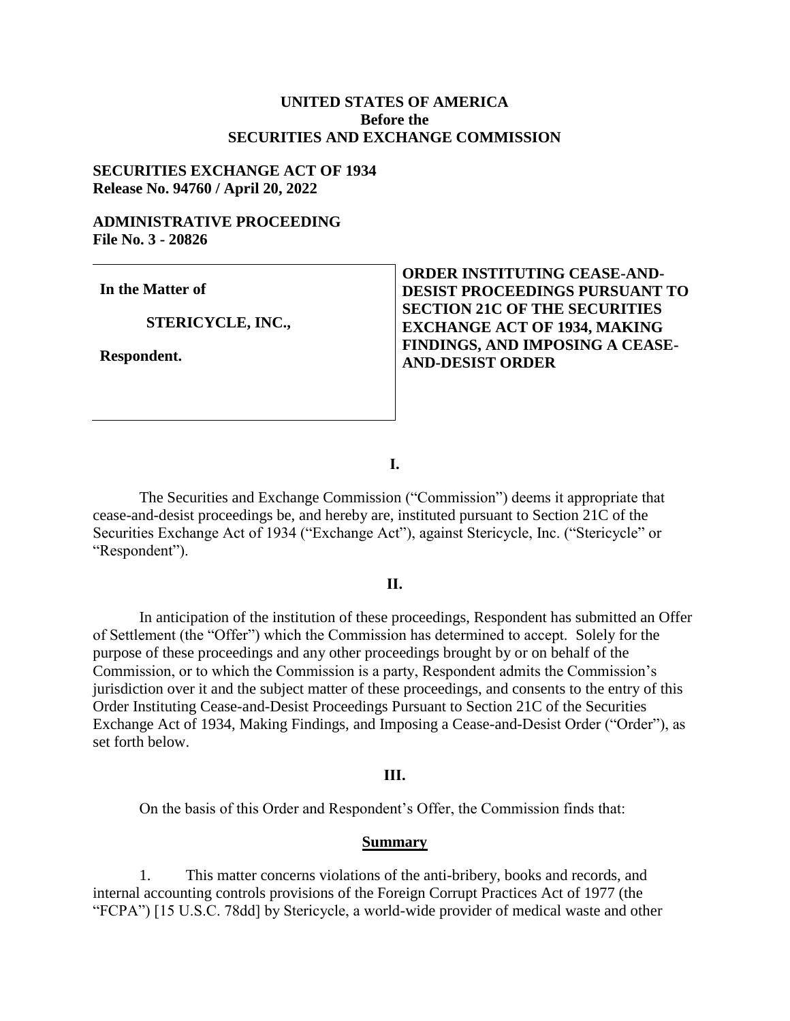### **UNITED STATES OF AMERICA Before the SECURITIES AND EXCHANGE COMMISSION**

### **SECURITIES EXCHANGE ACT OF 1934 Release No. 94760 / April 20, 2022**

#### **ADMINISTRATIVE PROCEEDING File No. 3 - 20826**

**In the Matter of**

#### **STERICYCLE, INC.,**

**Respondent.**

# **ORDER INSTITUTING CEASE-AND-DESIST PROCEEDINGS PURSUANT TO SECTION 21C OF THE SECURITIES EXCHANGE ACT OF 1934, MAKING FINDINGS, AND IMPOSING A CEASE-AND-DESIST ORDER**

**I.**

The Securities and Exchange Commission ("Commission") deems it appropriate that cease-and-desist proceedings be, and hereby are, instituted pursuant to Section 21C of the Securities Exchange Act of 1934 ("Exchange Act"), against Stericycle, Inc. ("Stericycle" or "Respondent").

#### **II.**

In anticipation of the institution of these proceedings, Respondent has submitted an Offer of Settlement (the "Offer") which the Commission has determined to accept. Solely for the purpose of these proceedings and any other proceedings brought by or on behalf of the Commission, or to which the Commission is a party, Respondent admits the Commission's jurisdiction over it and the subject matter of these proceedings, and consents to the entry of this Order Instituting Cease-and-Desist Proceedings Pursuant to Section 21C of the Securities Exchange Act of 1934, Making Findings, and Imposing a Cease-and-Desist Order ("Order"), as set forth below.

#### **III.**

On the basis of this Order and Respondent's Offer, the Commission finds that:

#### **Summary**

1. This matter concerns violations of the anti-bribery, books and records, and internal accounting controls provisions of the Foreign Corrupt Practices Act of 1977 (the "FCPA") [15 U.S.C. 78dd] by Stericycle, a world-wide provider of medical waste and other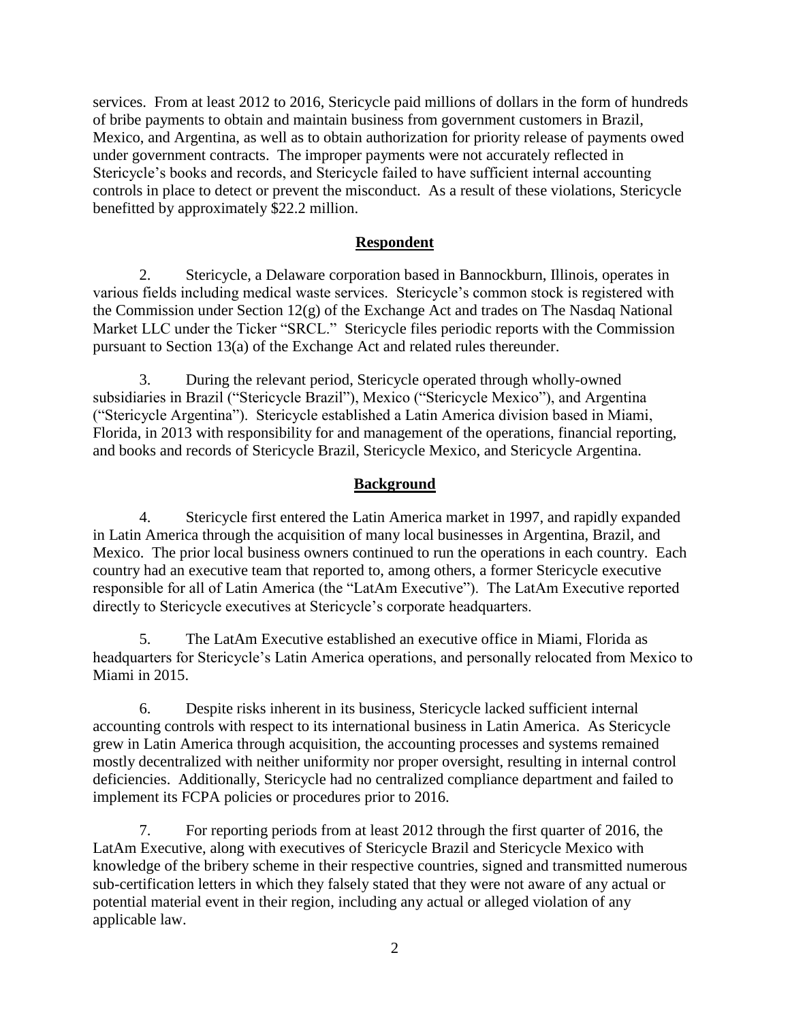services. From at least 2012 to 2016, Stericycle paid millions of dollars in the form of hundreds of bribe payments to obtain and maintain business from government customers in Brazil, Mexico, and Argentina, as well as to obtain authorization for priority release of payments owed under government contracts. The improper payments were not accurately reflected in Stericycle's books and records, and Stericycle failed to have sufficient internal accounting controls in place to detect or prevent the misconduct. As a result of these violations, Stericycle benefitted by approximately \$22.2 million.

### **Respondent**

2. Stericycle, a Delaware corporation based in Bannockburn, Illinois, operates in various fields including medical waste services. Stericycle's common stock is registered with the Commission under Section 12(g) of the Exchange Act and trades on The Nasdaq National Market LLC under the Ticker "SRCL." Stericycle files periodic reports with the Commission pursuant to Section 13(a) of the Exchange Act and related rules thereunder.

3. During the relevant period, Stericycle operated through wholly-owned subsidiaries in Brazil ("Stericycle Brazil"), Mexico ("Stericycle Mexico"), and Argentina ("Stericycle Argentina"). Stericycle established a Latin America division based in Miami, Florida, in 2013 with responsibility for and management of the operations, financial reporting, and books and records of Stericycle Brazil, Stericycle Mexico, and Stericycle Argentina.

### **Background**

4. Stericycle first entered the Latin America market in 1997, and rapidly expanded in Latin America through the acquisition of many local businesses in Argentina, Brazil, and Mexico. The prior local business owners continued to run the operations in each country. Each country had an executive team that reported to, among others, a former Stericycle executive responsible for all of Latin America (the "LatAm Executive"). The LatAm Executive reported directly to Stericycle executives at Stericycle's corporate headquarters.

5. The LatAm Executive established an executive office in Miami, Florida as headquarters for Stericycle's Latin America operations, and personally relocated from Mexico to Miami in 2015.

6. Despite risks inherent in its business, Stericycle lacked sufficient internal accounting controls with respect to its international business in Latin America. As Stericycle grew in Latin America through acquisition, the accounting processes and systems remained mostly decentralized with neither uniformity nor proper oversight, resulting in internal control deficiencies. Additionally, Stericycle had no centralized compliance department and failed to implement its FCPA policies or procedures prior to 2016.

7. For reporting periods from at least 2012 through the first quarter of 2016, the LatAm Executive, along with executives of Stericycle Brazil and Stericycle Mexico with knowledge of the bribery scheme in their respective countries, signed and transmitted numerous sub-certification letters in which they falsely stated that they were not aware of any actual or potential material event in their region, including any actual or alleged violation of any applicable law.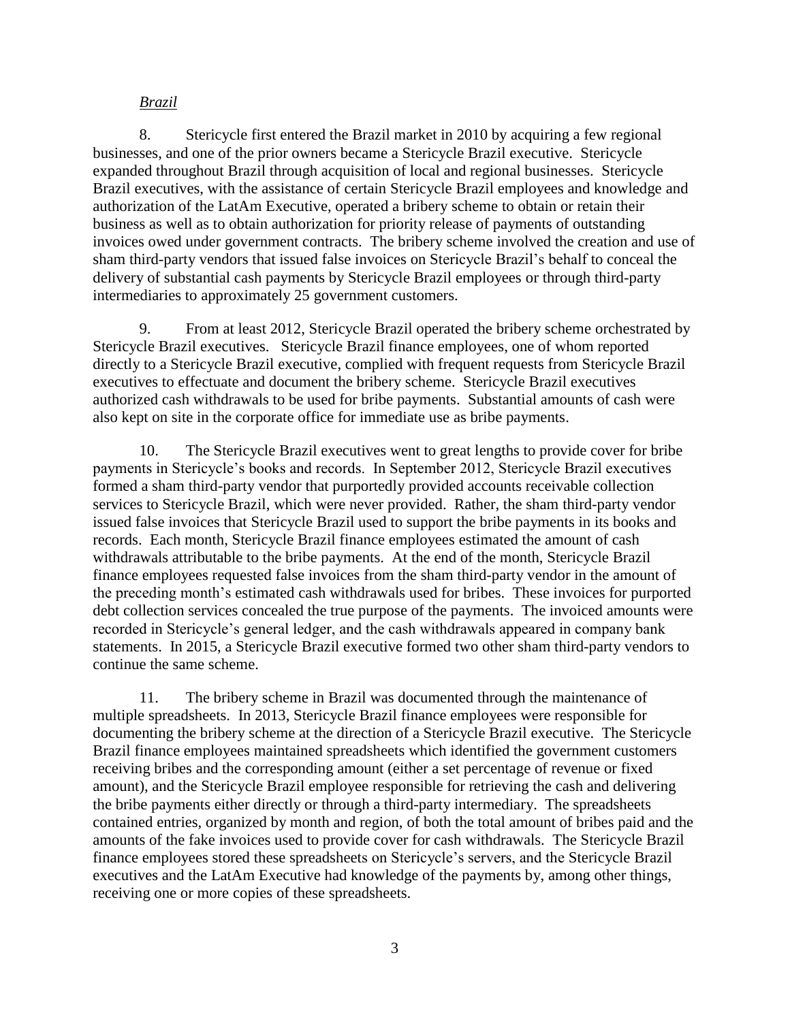### *Brazil*

8. Stericycle first entered the Brazil market in 2010 by acquiring a few regional businesses, and one of the prior owners became a Stericycle Brazil executive. Stericycle expanded throughout Brazil through acquisition of local and regional businesses. Stericycle Brazil executives, with the assistance of certain Stericycle Brazil employees and knowledge and authorization of the LatAm Executive, operated a bribery scheme to obtain or retain their business as well as to obtain authorization for priority release of payments of outstanding invoices owed under government contracts. The bribery scheme involved the creation and use of sham third-party vendors that issued false invoices on Stericycle Brazil's behalf to conceal the delivery of substantial cash payments by Stericycle Brazil employees or through third-party intermediaries to approximately 25 government customers.

9. From at least 2012, Stericycle Brazil operated the bribery scheme orchestrated by Stericycle Brazil executives. Stericycle Brazil finance employees, one of whom reported directly to a Stericycle Brazil executive, complied with frequent requests from Stericycle Brazil executives to effectuate and document the bribery scheme. Stericycle Brazil executives authorized cash withdrawals to be used for bribe payments. Substantial amounts of cash were also kept on site in the corporate office for immediate use as bribe payments.

10. The Stericycle Brazil executives went to great lengths to provide cover for bribe payments in Stericycle's books and records. In September 2012, Stericycle Brazil executives formed a sham third-party vendor that purportedly provided accounts receivable collection services to Stericycle Brazil, which were never provided. Rather, the sham third-party vendor issued false invoices that Stericycle Brazil used to support the bribe payments in its books and records. Each month, Stericycle Brazil finance employees estimated the amount of cash withdrawals attributable to the bribe payments. At the end of the month, Stericycle Brazil finance employees requested false invoices from the sham third-party vendor in the amount of the preceding month's estimated cash withdrawals used for bribes. These invoices for purported debt collection services concealed the true purpose of the payments. The invoiced amounts were recorded in Stericycle's general ledger, and the cash withdrawals appeared in company bank statements. In 2015, a Stericycle Brazil executive formed two other sham third-party vendors to continue the same scheme.

11. The bribery scheme in Brazil was documented through the maintenance of multiple spreadsheets. In 2013, Stericycle Brazil finance employees were responsible for documenting the bribery scheme at the direction of a Stericycle Brazil executive. The Stericycle Brazil finance employees maintained spreadsheets which identified the government customers receiving bribes and the corresponding amount (either a set percentage of revenue or fixed amount), and the Stericycle Brazil employee responsible for retrieving the cash and delivering the bribe payments either directly or through a third-party intermediary. The spreadsheets contained entries, organized by month and region, of both the total amount of bribes paid and the amounts of the fake invoices used to provide cover for cash withdrawals. The Stericycle Brazil finance employees stored these spreadsheets on Stericycle's servers, and the Stericycle Brazil executives and the LatAm Executive had knowledge of the payments by, among other things, receiving one or more copies of these spreadsheets.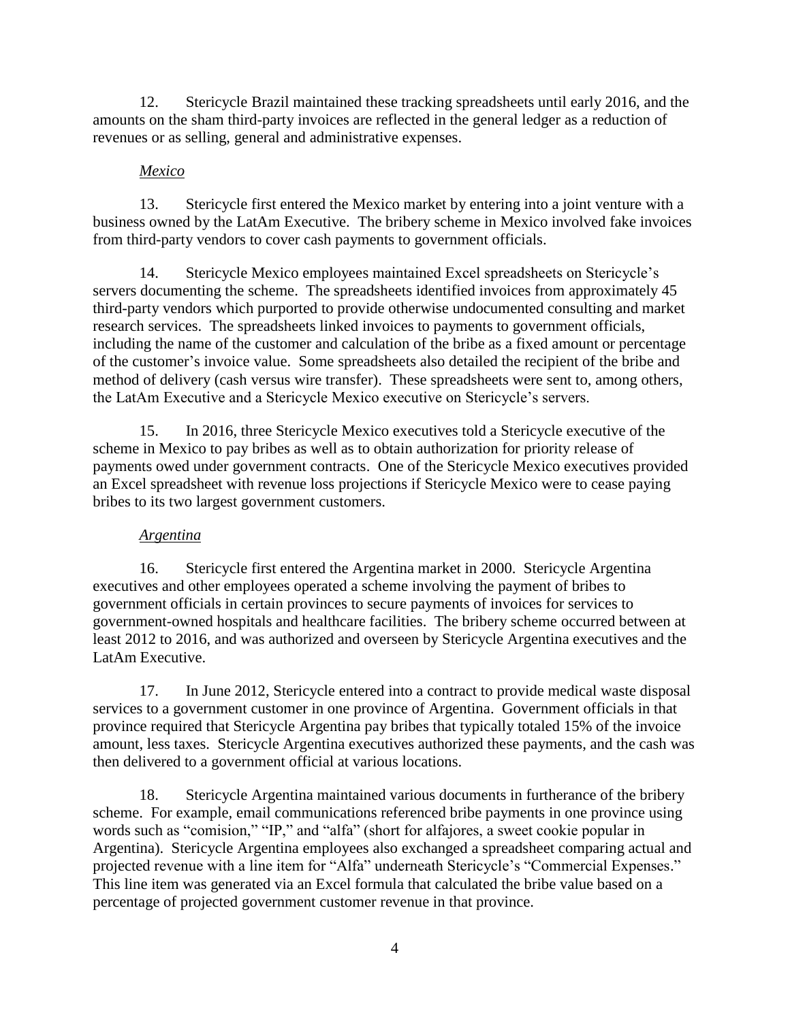12. Stericycle Brazil maintained these tracking spreadsheets until early 2016, and the amounts on the sham third-party invoices are reflected in the general ledger as a reduction of revenues or as selling, general and administrative expenses.

# *Mexico*

13. Stericycle first entered the Mexico market by entering into a joint venture with a business owned by the LatAm Executive. The bribery scheme in Mexico involved fake invoices from third-party vendors to cover cash payments to government officials.

14. Stericycle Mexico employees maintained Excel spreadsheets on Stericycle's servers documenting the scheme. The spreadsheets identified invoices from approximately 45 third-party vendors which purported to provide otherwise undocumented consulting and market research services. The spreadsheets linked invoices to payments to government officials, including the name of the customer and calculation of the bribe as a fixed amount or percentage of the customer's invoice value. Some spreadsheets also detailed the recipient of the bribe and method of delivery (cash versus wire transfer). These spreadsheets were sent to, among others, the LatAm Executive and a Stericycle Mexico executive on Stericycle's servers.

15. In 2016, three Stericycle Mexico executives told a Stericycle executive of the scheme in Mexico to pay bribes as well as to obtain authorization for priority release of payments owed under government contracts. One of the Stericycle Mexico executives provided an Excel spreadsheet with revenue loss projections if Stericycle Mexico were to cease paying bribes to its two largest government customers.

### *Argentina*

16. Stericycle first entered the Argentina market in 2000. Stericycle Argentina executives and other employees operated a scheme involving the payment of bribes to government officials in certain provinces to secure payments of invoices for services to government-owned hospitals and healthcare facilities. The bribery scheme occurred between at least 2012 to 2016, and was authorized and overseen by Stericycle Argentina executives and the LatAm Executive.

17. In June 2012, Stericycle entered into a contract to provide medical waste disposal services to a government customer in one province of Argentina. Government officials in that province required that Stericycle Argentina pay bribes that typically totaled 15% of the invoice amount, less taxes. Stericycle Argentina executives authorized these payments, and the cash was then delivered to a government official at various locations.

18. Stericycle Argentina maintained various documents in furtherance of the bribery scheme. For example, email communications referenced bribe payments in one province using words such as "comision," "IP," and "alfa" (short for alfajores, a sweet cookie popular in Argentina). Stericycle Argentina employees also exchanged a spreadsheet comparing actual and projected revenue with a line item for "Alfa" underneath Stericycle's "Commercial Expenses." This line item was generated via an Excel formula that calculated the bribe value based on a percentage of projected government customer revenue in that province.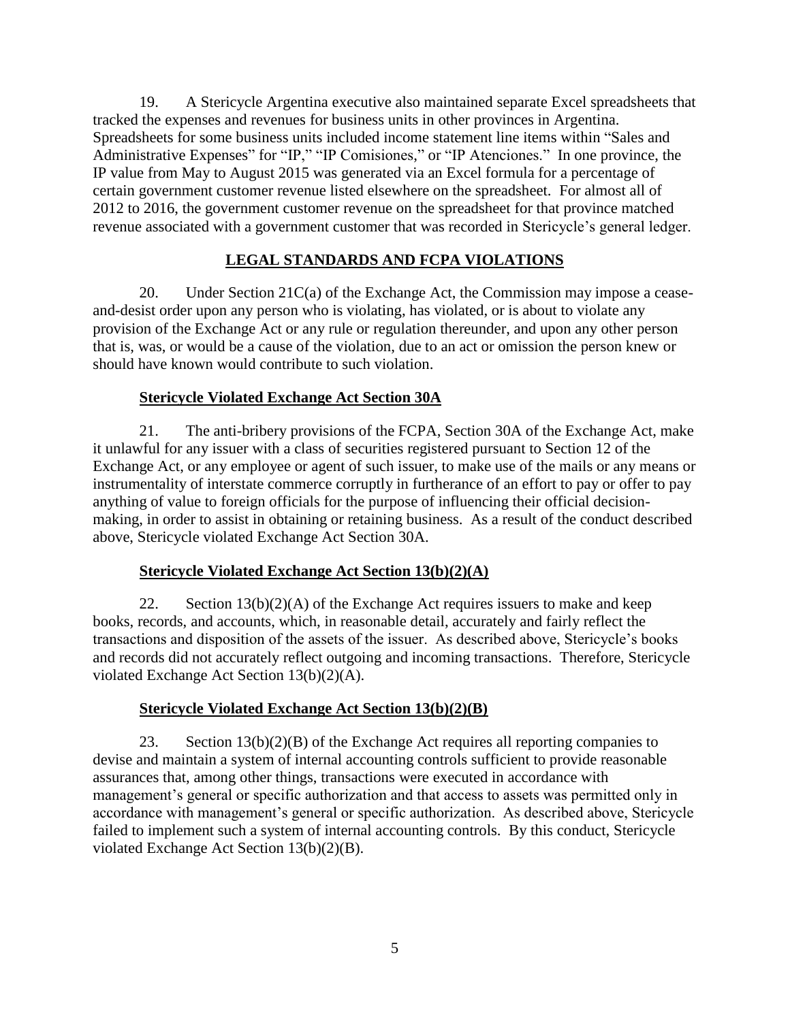19. A Stericycle Argentina executive also maintained separate Excel spreadsheets that tracked the expenses and revenues for business units in other provinces in Argentina. Spreadsheets for some business units included income statement line items within "Sales and Administrative Expenses" for "IP," "IP Comisiones," or "IP Atenciones." In one province, the IP value from May to August 2015 was generated via an Excel formula for a percentage of certain government customer revenue listed elsewhere on the spreadsheet. For almost all of 2012 to 2016, the government customer revenue on the spreadsheet for that province matched revenue associated with a government customer that was recorded in Stericycle's general ledger.

# **LEGAL STANDARDS AND FCPA VIOLATIONS**

20. Under Section  $21C(a)$  of the Exchange Act, the Commission may impose a ceaseand-desist order upon any person who is violating, has violated, or is about to violate any provision of the Exchange Act or any rule or regulation thereunder, and upon any other person that is, was, or would be a cause of the violation, due to an act or omission the person knew or should have known would contribute to such violation.

# **Stericycle Violated Exchange Act Section 30A**

21. The anti-bribery provisions of the FCPA, Section 30A of the Exchange Act, make it unlawful for any issuer with a class of securities registered pursuant to Section 12 of the Exchange Act, or any employee or agent of such issuer, to make use of the mails or any means or instrumentality of interstate commerce corruptly in furtherance of an effort to pay or offer to pay anything of value to foreign officials for the purpose of influencing their official decisionmaking, in order to assist in obtaining or retaining business. As a result of the conduct described above, Stericycle violated Exchange Act Section 30A.

# **Stericycle Violated Exchange Act Section 13(b)(2)(A)**

22. Section  $13(b)(2)(A)$  of the Exchange Act requires issuers to make and keep books, records, and accounts, which, in reasonable detail, accurately and fairly reflect the transactions and disposition of the assets of the issuer. As described above, Stericycle's books and records did not accurately reflect outgoing and incoming transactions. Therefore, Stericycle violated Exchange Act Section 13(b)(2)(A).

# **Stericycle Violated Exchange Act Section 13(b)(2)(B)**

23. Section 13(b)(2)(B) of the Exchange Act requires all reporting companies to devise and maintain a system of internal accounting controls sufficient to provide reasonable assurances that, among other things, transactions were executed in accordance with management's general or specific authorization and that access to assets was permitted only in accordance with management's general or specific authorization. As described above, Stericycle failed to implement such a system of internal accounting controls. By this conduct, Stericycle violated Exchange Act Section 13(b)(2)(B).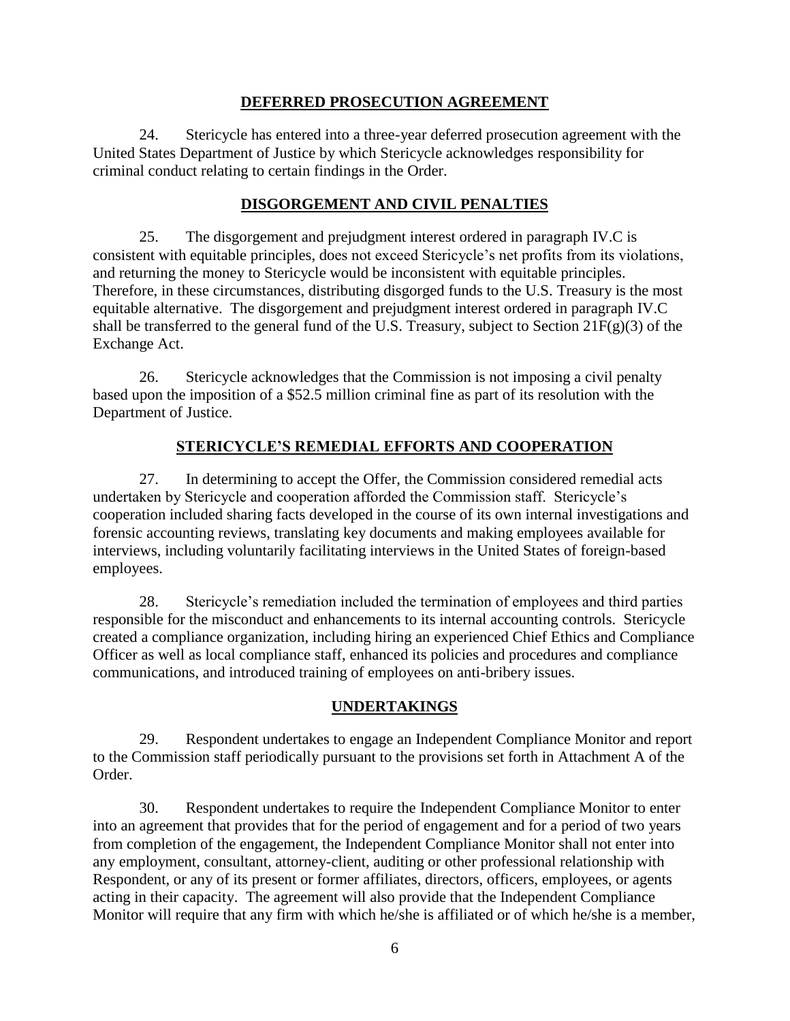### **DEFERRED PROSECUTION AGREEMENT**

24. Stericycle has entered into a three-year deferred prosecution agreement with the United States Department of Justice by which Stericycle acknowledges responsibility for criminal conduct relating to certain findings in the Order.

### **DISGORGEMENT AND CIVIL PENALTIES**

25. The disgorgement and prejudgment interest ordered in paragraph IV.C is consistent with equitable principles, does not exceed Stericycle's net profits from its violations, and returning the money to Stericycle would be inconsistent with equitable principles. Therefore, in these circumstances, distributing disgorged funds to the U.S. Treasury is the most equitable alternative. The disgorgement and prejudgment interest ordered in paragraph IV.C shall be transferred to the general fund of the U.S. Treasury, subject to Section  $21F(g)(3)$  of the Exchange Act.

26. Stericycle acknowledges that the Commission is not imposing a civil penalty based upon the imposition of a \$52.5 million criminal fine as part of its resolution with the Department of Justice.

# **STERICYCLE'S REMEDIAL EFFORTS AND COOPERATION**

27. In determining to accept the Offer, the Commission considered remedial acts undertaken by Stericycle and cooperation afforded the Commission staff. Stericycle's cooperation included sharing facts developed in the course of its own internal investigations and forensic accounting reviews, translating key documents and making employees available for interviews, including voluntarily facilitating interviews in the United States of foreign-based employees.

28. Stericycle's remediation included the termination of employees and third parties responsible for the misconduct and enhancements to its internal accounting controls. Stericycle created a compliance organization, including hiring an experienced Chief Ethics and Compliance Officer as well as local compliance staff, enhanced its policies and procedures and compliance communications, and introduced training of employees on anti-bribery issues.

### **UNDERTAKINGS**

29. Respondent undertakes to engage an Independent Compliance Monitor and report to the Commission staff periodically pursuant to the provisions set forth in Attachment A of the Order.

30. Respondent undertakes to require the Independent Compliance Monitor to enter into an agreement that provides that for the period of engagement and for a period of two years from completion of the engagement, the Independent Compliance Monitor shall not enter into any employment, consultant, attorney-client, auditing or other professional relationship with Respondent, or any of its present or former affiliates, directors, officers, employees, or agents acting in their capacity. The agreement will also provide that the Independent Compliance Monitor will require that any firm with which he/she is affiliated or of which he/she is a member,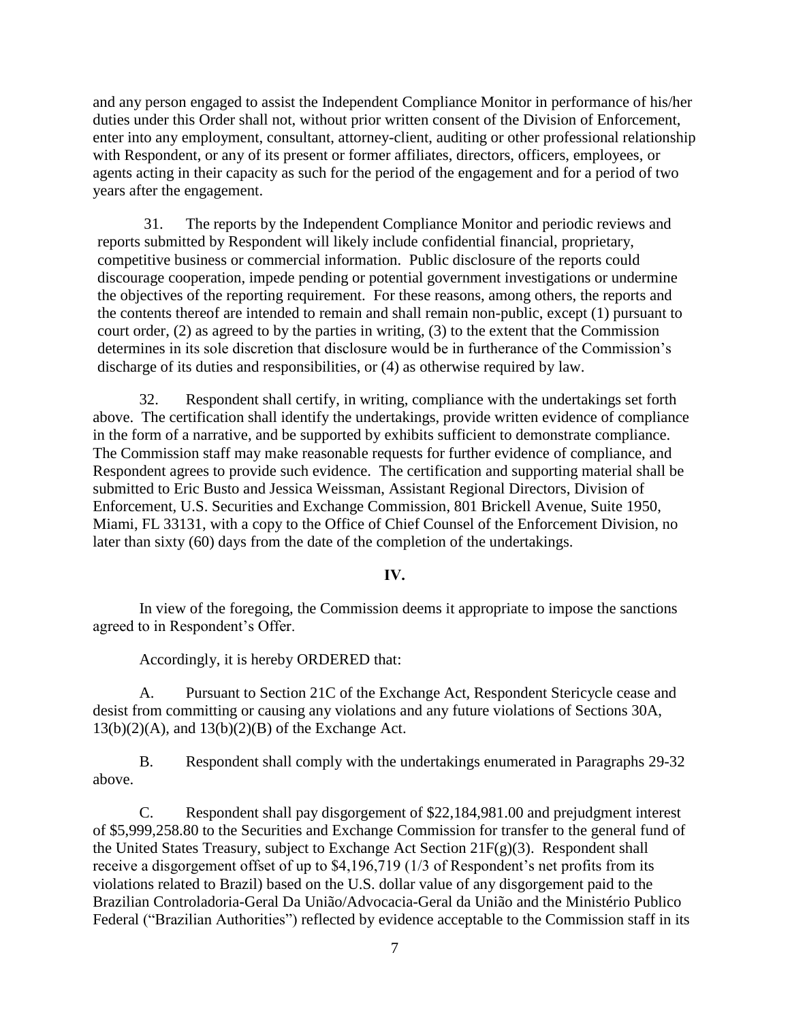and any person engaged to assist the Independent Compliance Monitor in performance of his/her duties under this Order shall not, without prior written consent of the Division of Enforcement, enter into any employment, consultant, attorney-client, auditing or other professional relationship with Respondent, or any of its present or former affiliates, directors, officers, employees, or agents acting in their capacity as such for the period of the engagement and for a period of two years after the engagement.

31. The reports by the Independent Compliance Monitor and periodic reviews and reports submitted by Respondent will likely include confidential financial, proprietary, competitive business or commercial information. Public disclosure of the reports could discourage cooperation, impede pending or potential government investigations or undermine the objectives of the reporting requirement. For these reasons, among others, the reports and the contents thereof are intended to remain and shall remain non-public, except (1) pursuant to court order, (2) as agreed to by the parties in writing, (3) to the extent that the Commission determines in its sole discretion that disclosure would be in furtherance of the Commission's discharge of its duties and responsibilities, or (4) as otherwise required by law.

32. Respondent shall certify, in writing, compliance with the undertakings set forth above. The certification shall identify the undertakings, provide written evidence of compliance in the form of a narrative, and be supported by exhibits sufficient to demonstrate compliance. The Commission staff may make reasonable requests for further evidence of compliance, and Respondent agrees to provide such evidence. The certification and supporting material shall be submitted to Eric Busto and Jessica Weissman, Assistant Regional Directors, Division of Enforcement, U.S. Securities and Exchange Commission, 801 Brickell Avenue, Suite 1950, Miami, FL 33131, with a copy to the Office of Chief Counsel of the Enforcement Division, no later than sixty (60) days from the date of the completion of the undertakings.

#### **IV.**

In view of the foregoing, the Commission deems it appropriate to impose the sanctions agreed to in Respondent's Offer.

Accordingly, it is hereby ORDERED that:

A. Pursuant to Section 21C of the Exchange Act, Respondent Stericycle cease and desist from committing or causing any violations and any future violations of Sections 30A,  $13(b)(2)(A)$ , and  $13(b)(2)(B)$  of the Exchange Act.

B. Respondent shall comply with the undertakings enumerated in Paragraphs 29-32 above.

C. Respondent shall pay disgorgement of \$22,184,981.00 and prejudgment interest of \$5,999,258.80 to the Securities and Exchange Commission for transfer to the general fund of the United States Treasury, subject to Exchange Act Section 21F(g)(3). Respondent shall receive a disgorgement offset of up to \$4,196,719 (1/3 of Respondent's net profits from its violations related to Brazil) based on the U.S. dollar value of any disgorgement paid to the Brazilian Controladoria-Geral Da União/Advocacia-Geral da União and the Ministério Publico Federal ("Brazilian Authorities") reflected by evidence acceptable to the Commission staff in its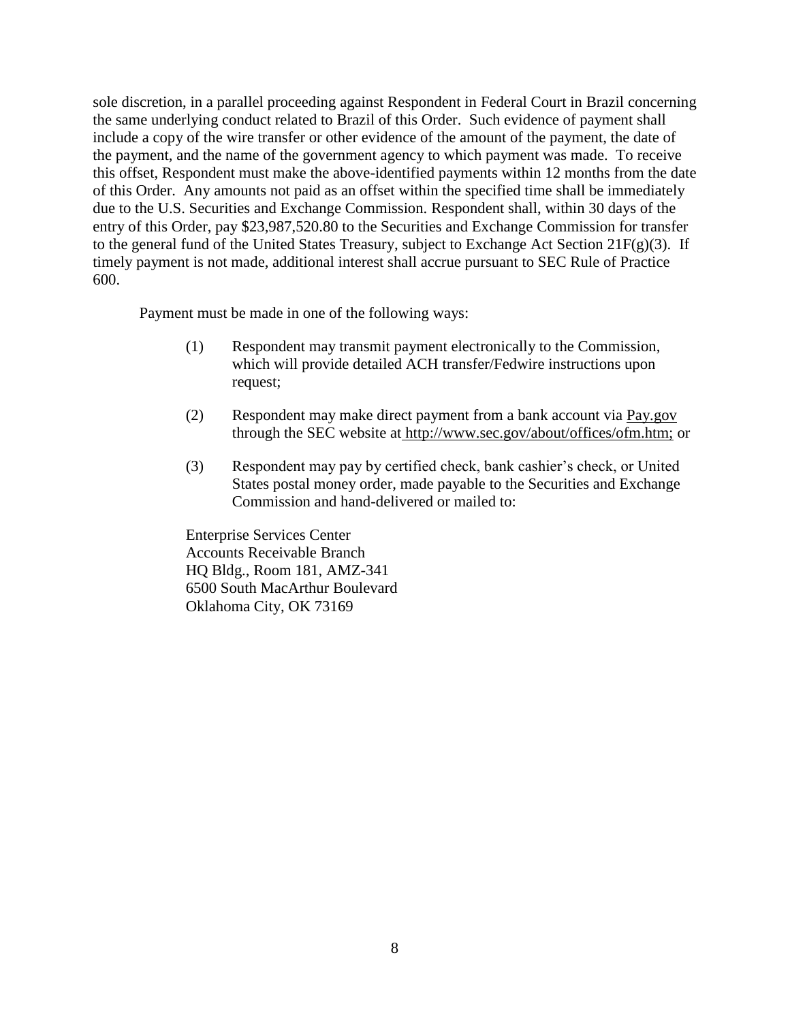sole discretion, in a parallel proceeding against Respondent in Federal Court in Brazil concerning the same underlying conduct related to Brazil of this Order. Such evidence of payment shall include a copy of the wire transfer or other evidence of the amount of the payment, the date of the payment, and the name of the government agency to which payment was made. To receive this offset, Respondent must make the above-identified payments within 12 months from the date of this Order. Any amounts not paid as an offset within the specified time shall be immediately due to the U.S. Securities and Exchange Commission. Respondent shall, within 30 days of the entry of this Order, pay \$23,987,520.80 to the Securities and Exchange Commission for transfer to the general fund of the United States Treasury, subject to Exchange Act Section 21 $F(g)(3)$ . If timely payment is not made, additional interest shall accrue pursuant to SEC Rule of Practice 600.

Payment must be made in one of the following ways:

- (1) Respondent may transmit payment electronically to the Commission, which will provide detailed ACH transfer/Fedwire instructions upon request;
- (2) Respondent may make direct payment from a bank account via Pay.gov through the SEC website at http://www.sec.gov/about/offices/ofm.htm; or
- (3) Respondent may pay by certified check, bank cashier's check, or United States postal money order, made payable to the Securities and Exchange Commission and hand-delivered or mailed to:

Enterprise Services Center Accounts Receivable Branch HQ Bldg., Room 181, AMZ-341 6500 South MacArthur Boulevard Oklahoma City, OK 73169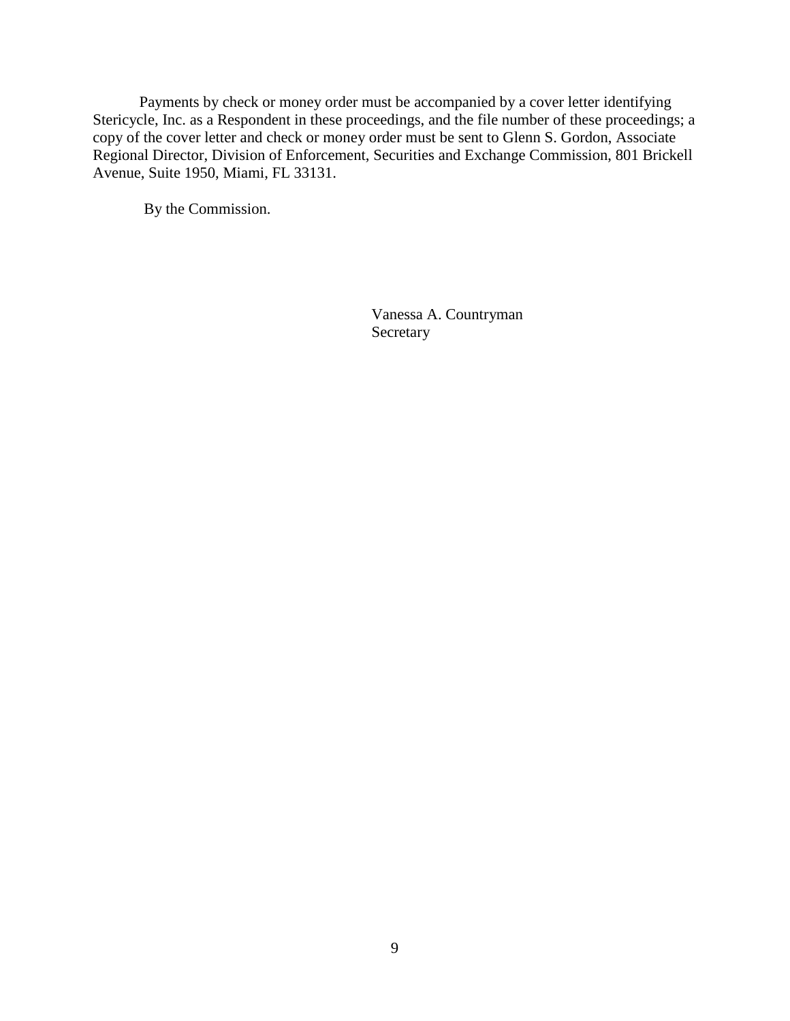Payments by check or money order must be accompanied by a cover letter identifying Stericycle, Inc. as a Respondent in these proceedings, and the file number of these proceedings; a copy of the cover letter and check or money order must be sent to Glenn S. Gordon, Associate Regional Director, Division of Enforcement, Securities and Exchange Commission, 801 Brickell Avenue, Suite 1950, Miami, FL 33131.

By the Commission.

Vanessa A. Countryman Secretary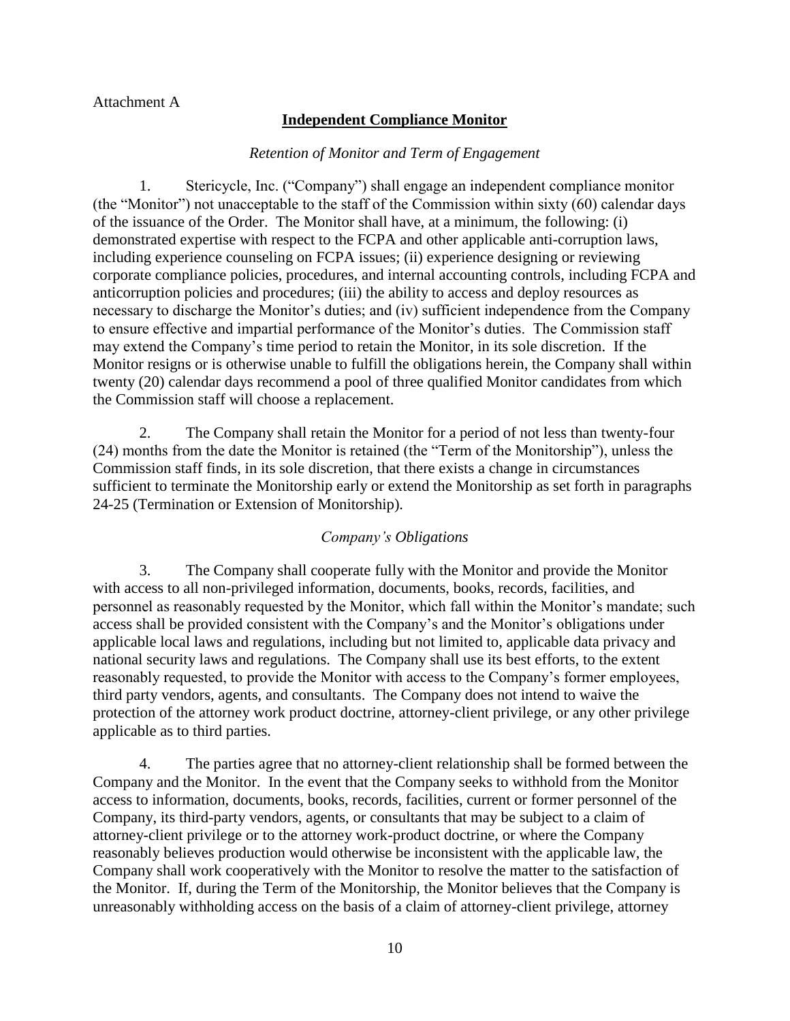### Attachment A

### **Independent Compliance Monitor**

### *Retention of Monitor and Term of Engagement*

1. Stericycle, Inc. ("Company") shall engage an independent compliance monitor (the "Monitor") not unacceptable to the staff of the Commission within sixty (60) calendar days of the issuance of the Order. The Monitor shall have, at a minimum, the following: (i) demonstrated expertise with respect to the FCPA and other applicable anti-corruption laws, including experience counseling on FCPA issues; (ii) experience designing or reviewing corporate compliance policies, procedures, and internal accounting controls, including FCPA and anticorruption policies and procedures; (iii) the ability to access and deploy resources as necessary to discharge the Monitor's duties; and (iv) sufficient independence from the Company to ensure effective and impartial performance of the Monitor's duties. The Commission staff may extend the Company's time period to retain the Monitor, in its sole discretion. If the Monitor resigns or is otherwise unable to fulfill the obligations herein, the Company shall within twenty (20) calendar days recommend a pool of three qualified Monitor candidates from which the Commission staff will choose a replacement.

2. The Company shall retain the Monitor for a period of not less than twenty-four (24) months from the date the Monitor is retained (the "Term of the Monitorship"), unless the Commission staff finds, in its sole discretion, that there exists a change in circumstances sufficient to terminate the Monitorship early or extend the Monitorship as set forth in paragraphs 24-25 (Termination or Extension of Monitorship).

#### *Company's Obligations*

3. The Company shall cooperate fully with the Monitor and provide the Monitor with access to all non-privileged information, documents, books, records, facilities, and personnel as reasonably requested by the Monitor, which fall within the Monitor's mandate; such access shall be provided consistent with the Company's and the Monitor's obligations under applicable local laws and regulations, including but not limited to, applicable data privacy and national security laws and regulations. The Company shall use its best efforts, to the extent reasonably requested, to provide the Monitor with access to the Company's former employees, third party vendors, agents, and consultants. The Company does not intend to waive the protection of the attorney work product doctrine, attorney-client privilege, or any other privilege applicable as to third parties.

4. The parties agree that no attorney-client relationship shall be formed between the Company and the Monitor. In the event that the Company seeks to withhold from the Monitor access to information, documents, books, records, facilities, current or former personnel of the Company, its third-party vendors, agents, or consultants that may be subject to a claim of attorney-client privilege or to the attorney work-product doctrine, or where the Company reasonably believes production would otherwise be inconsistent with the applicable law, the Company shall work cooperatively with the Monitor to resolve the matter to the satisfaction of the Monitor. If, during the Term of the Monitorship, the Monitor believes that the Company is unreasonably withholding access on the basis of a claim of attorney-client privilege, attorney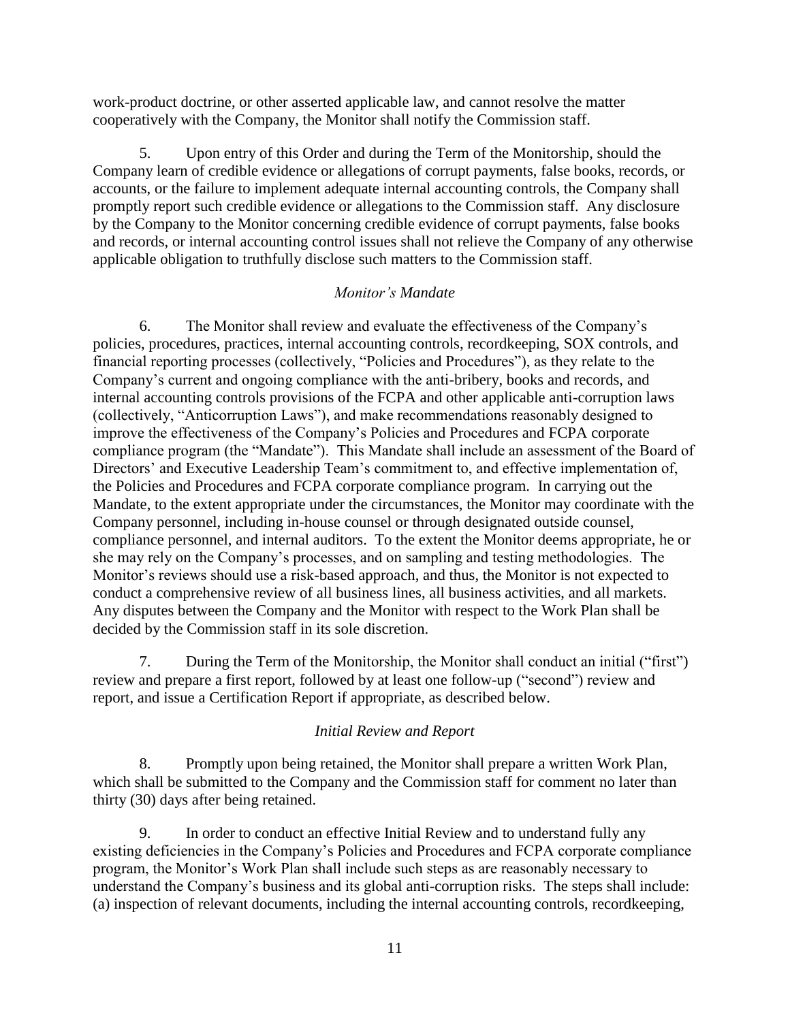work-product doctrine, or other asserted applicable law, and cannot resolve the matter cooperatively with the Company, the Monitor shall notify the Commission staff.

5. Upon entry of this Order and during the Term of the Monitorship, should the Company learn of credible evidence or allegations of corrupt payments, false books, records, or accounts, or the failure to implement adequate internal accounting controls, the Company shall promptly report such credible evidence or allegations to the Commission staff. Any disclosure by the Company to the Monitor concerning credible evidence of corrupt payments, false books and records, or internal accounting control issues shall not relieve the Company of any otherwise applicable obligation to truthfully disclose such matters to the Commission staff.

### *Monitor's Mandate*

6. The Monitor shall review and evaluate the effectiveness of the Company's policies, procedures, practices, internal accounting controls, recordkeeping, SOX controls, and financial reporting processes (collectively, "Policies and Procedures"), as they relate to the Company's current and ongoing compliance with the anti-bribery, books and records, and internal accounting controls provisions of the FCPA and other applicable anti-corruption laws (collectively, "Anticorruption Laws"), and make recommendations reasonably designed to improve the effectiveness of the Company's Policies and Procedures and FCPA corporate compliance program (the "Mandate"). This Mandate shall include an assessment of the Board of Directors' and Executive Leadership Team's commitment to, and effective implementation of, the Policies and Procedures and FCPA corporate compliance program. In carrying out the Mandate, to the extent appropriate under the circumstances, the Monitor may coordinate with the Company personnel, including in-house counsel or through designated outside counsel, compliance personnel, and internal auditors. To the extent the Monitor deems appropriate, he or she may rely on the Company's processes, and on sampling and testing methodologies. The Monitor's reviews should use a risk-based approach, and thus, the Monitor is not expected to conduct a comprehensive review of all business lines, all business activities, and all markets. Any disputes between the Company and the Monitor with respect to the Work Plan shall be decided by the Commission staff in its sole discretion.

7. During the Term of the Monitorship, the Monitor shall conduct an initial ("first") review and prepare a first report, followed by at least one follow-up ("second") review and report, and issue a Certification Report if appropriate, as described below.

### *Initial Review and Report*

8. Promptly upon being retained, the Monitor shall prepare a written Work Plan, which shall be submitted to the Company and the Commission staff for comment no later than thirty (30) days after being retained.

9. In order to conduct an effective Initial Review and to understand fully any existing deficiencies in the Company's Policies and Procedures and FCPA corporate compliance program, the Monitor's Work Plan shall include such steps as are reasonably necessary to understand the Company's business and its global anti-corruption risks. The steps shall include: (a) inspection of relevant documents, including the internal accounting controls, recordkeeping,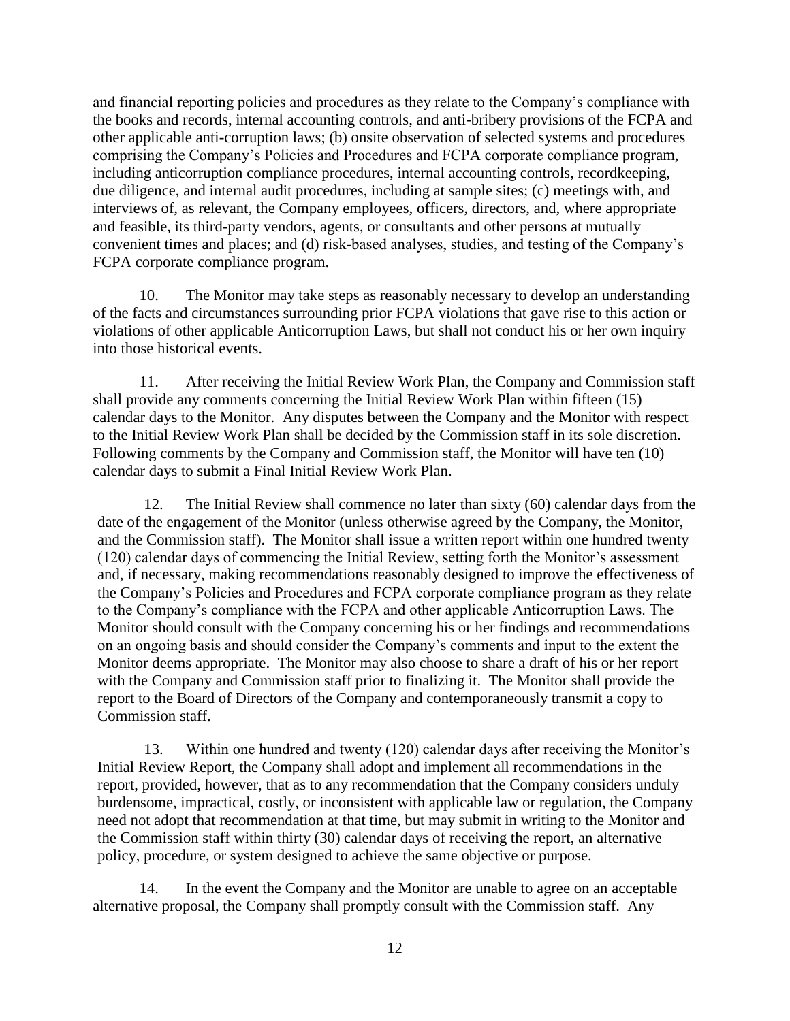and financial reporting policies and procedures as they relate to the Company's compliance with the books and records, internal accounting controls, and anti-bribery provisions of the FCPA and other applicable anti-corruption laws; (b) onsite observation of selected systems and procedures comprising the Company's Policies and Procedures and FCPA corporate compliance program, including anticorruption compliance procedures, internal accounting controls, recordkeeping, due diligence, and internal audit procedures, including at sample sites; (c) meetings with, and interviews of, as relevant, the Company employees, officers, directors, and, where appropriate and feasible, its third-party vendors, agents, or consultants and other persons at mutually convenient times and places; and (d) risk-based analyses, studies, and testing of the Company's FCPA corporate compliance program.

10. The Monitor may take steps as reasonably necessary to develop an understanding of the facts and circumstances surrounding prior FCPA violations that gave rise to this action or violations of other applicable Anticorruption Laws, but shall not conduct his or her own inquiry into those historical events.

11. After receiving the Initial Review Work Plan, the Company and Commission staff shall provide any comments concerning the Initial Review Work Plan within fifteen (15) calendar days to the Monitor. Any disputes between the Company and the Monitor with respect to the Initial Review Work Plan shall be decided by the Commission staff in its sole discretion. Following comments by the Company and Commission staff, the Monitor will have ten (10) calendar days to submit a Final Initial Review Work Plan.

12. The Initial Review shall commence no later than sixty (60) calendar days from the date of the engagement of the Monitor (unless otherwise agreed by the Company, the Monitor, and the Commission staff). The Monitor shall issue a written report within one hundred twenty (120) calendar days of commencing the Initial Review, setting forth the Monitor's assessment and, if necessary, making recommendations reasonably designed to improve the effectiveness of the Company's Policies and Procedures and FCPA corporate compliance program as they relate to the Company's compliance with the FCPA and other applicable Anticorruption Laws. The Monitor should consult with the Company concerning his or her findings and recommendations on an ongoing basis and should consider the Company's comments and input to the extent the Monitor deems appropriate. The Monitor may also choose to share a draft of his or her report with the Company and Commission staff prior to finalizing it. The Monitor shall provide the report to the Board of Directors of the Company and contemporaneously transmit a copy to Commission staff.

13. Within one hundred and twenty (120) calendar days after receiving the Monitor's Initial Review Report, the Company shall adopt and implement all recommendations in the report, provided, however, that as to any recommendation that the Company considers unduly burdensome, impractical, costly, or inconsistent with applicable law or regulation, the Company need not adopt that recommendation at that time, but may submit in writing to the Monitor and the Commission staff within thirty (30) calendar days of receiving the report, an alternative policy, procedure, or system designed to achieve the same objective or purpose.

14. In the event the Company and the Monitor are unable to agree on an acceptable alternative proposal, the Company shall promptly consult with the Commission staff. Any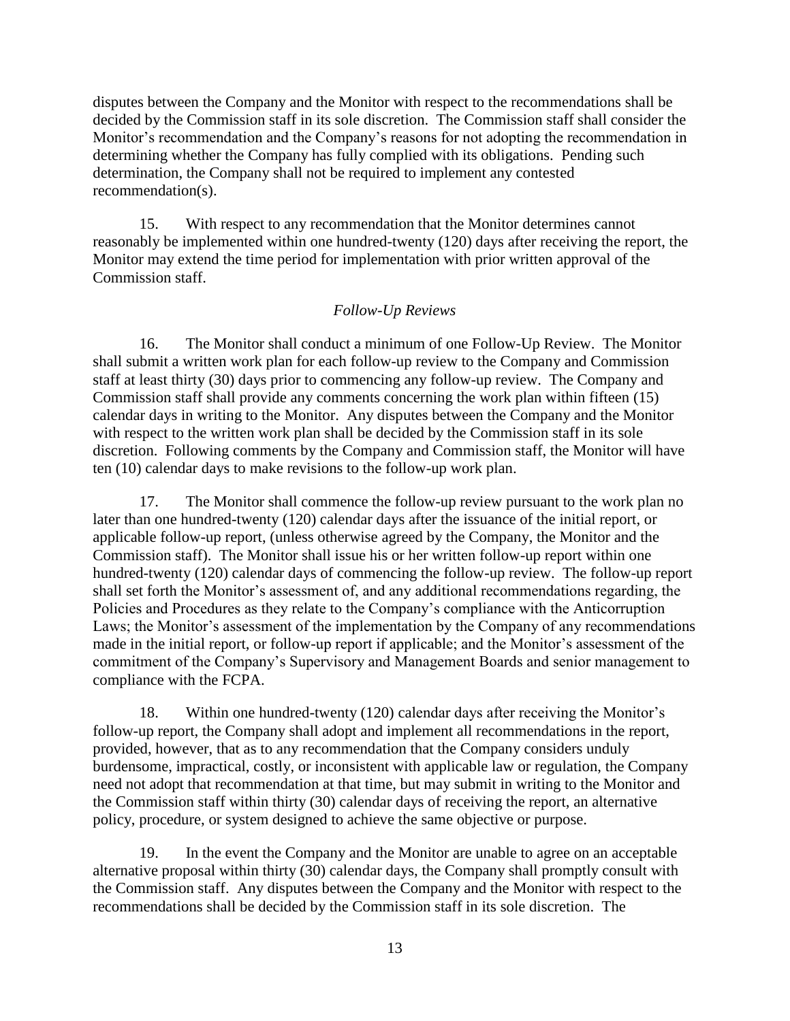disputes between the Company and the Monitor with respect to the recommendations shall be decided by the Commission staff in its sole discretion. The Commission staff shall consider the Monitor's recommendation and the Company's reasons for not adopting the recommendation in determining whether the Company has fully complied with its obligations. Pending such determination, the Company shall not be required to implement any contested recommendation(s).

15. With respect to any recommendation that the Monitor determines cannot reasonably be implemented within one hundred-twenty (120) days after receiving the report, the Monitor may extend the time period for implementation with prior written approval of the Commission staff.

## *Follow-Up Reviews*

16. The Monitor shall conduct a minimum of one Follow-Up Review. The Monitor shall submit a written work plan for each follow-up review to the Company and Commission staff at least thirty (30) days prior to commencing any follow-up review. The Company and Commission staff shall provide any comments concerning the work plan within fifteen (15) calendar days in writing to the Monitor. Any disputes between the Company and the Monitor with respect to the written work plan shall be decided by the Commission staff in its sole discretion. Following comments by the Company and Commission staff, the Monitor will have ten (10) calendar days to make revisions to the follow-up work plan.

17. The Monitor shall commence the follow-up review pursuant to the work plan no later than one hundred-twenty (120) calendar days after the issuance of the initial report, or applicable follow-up report, (unless otherwise agreed by the Company, the Monitor and the Commission staff). The Monitor shall issue his or her written follow-up report within one hundred-twenty (120) calendar days of commencing the follow-up review. The follow-up report shall set forth the Monitor's assessment of, and any additional recommendations regarding, the Policies and Procedures as they relate to the Company's compliance with the Anticorruption Laws; the Monitor's assessment of the implementation by the Company of any recommendations made in the initial report, or follow-up report if applicable; and the Monitor's assessment of the commitment of the Company's Supervisory and Management Boards and senior management to compliance with the FCPA.

18. Within one hundred-twenty (120) calendar days after receiving the Monitor's follow-up report, the Company shall adopt and implement all recommendations in the report, provided, however, that as to any recommendation that the Company considers unduly burdensome, impractical, costly, or inconsistent with applicable law or regulation, the Company need not adopt that recommendation at that time, but may submit in writing to the Monitor and the Commission staff within thirty (30) calendar days of receiving the report, an alternative policy, procedure, or system designed to achieve the same objective or purpose.

19. In the event the Company and the Monitor are unable to agree on an acceptable alternative proposal within thirty (30) calendar days, the Company shall promptly consult with the Commission staff. Any disputes between the Company and the Monitor with respect to the recommendations shall be decided by the Commission staff in its sole discretion. The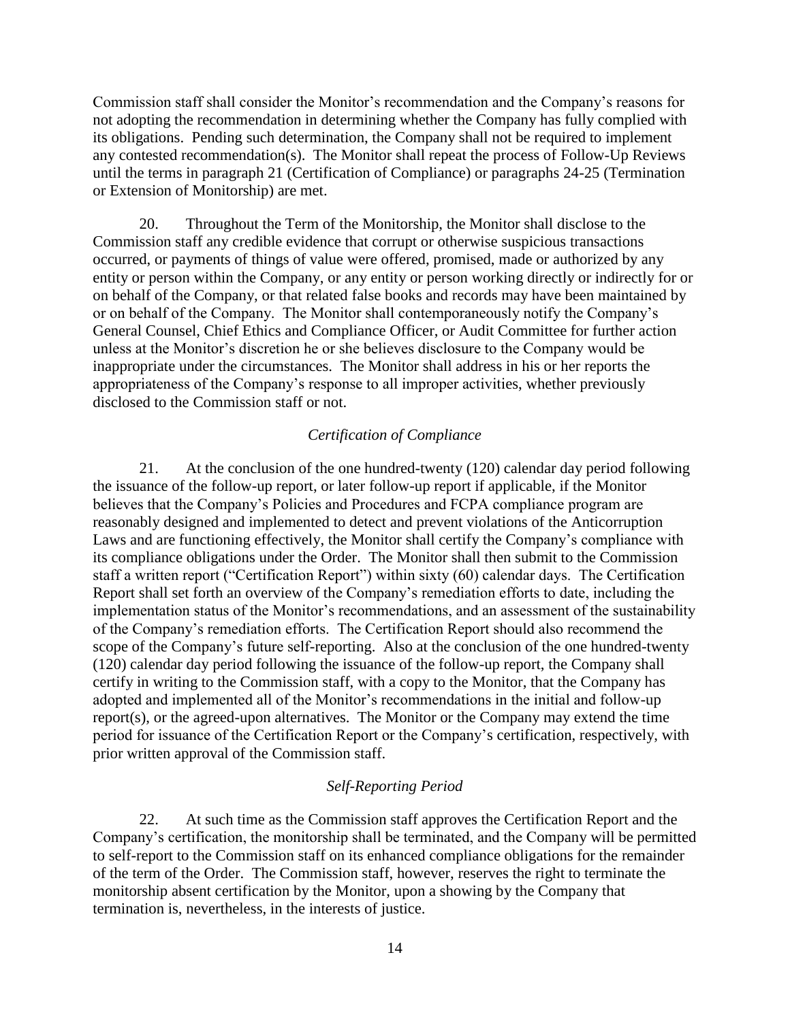Commission staff shall consider the Monitor's recommendation and the Company's reasons for not adopting the recommendation in determining whether the Company has fully complied with its obligations. Pending such determination, the Company shall not be required to implement any contested recommendation(s). The Monitor shall repeat the process of Follow-Up Reviews until the terms in paragraph 21 (Certification of Compliance) or paragraphs 24-25 (Termination or Extension of Monitorship) are met.

20. Throughout the Term of the Monitorship, the Monitor shall disclose to the Commission staff any credible evidence that corrupt or otherwise suspicious transactions occurred, or payments of things of value were offered, promised, made or authorized by any entity or person within the Company, or any entity or person working directly or indirectly for or on behalf of the Company, or that related false books and records may have been maintained by or on behalf of the Company. The Monitor shall contemporaneously notify the Company's General Counsel, Chief Ethics and Compliance Officer, or Audit Committee for further action unless at the Monitor's discretion he or she believes disclosure to the Company would be inappropriate under the circumstances. The Monitor shall address in his or her reports the appropriateness of the Company's response to all improper activities, whether previously disclosed to the Commission staff or not.

#### *Certification of Compliance*

21. At the conclusion of the one hundred-twenty (120) calendar day period following the issuance of the follow-up report, or later follow-up report if applicable, if the Monitor believes that the Company's Policies and Procedures and FCPA compliance program are reasonably designed and implemented to detect and prevent violations of the Anticorruption Laws and are functioning effectively, the Monitor shall certify the Company's compliance with its compliance obligations under the Order. The Monitor shall then submit to the Commission staff a written report ("Certification Report") within sixty (60) calendar days. The Certification Report shall set forth an overview of the Company's remediation efforts to date, including the implementation status of the Monitor's recommendations, and an assessment of the sustainability of the Company's remediation efforts. The Certification Report should also recommend the scope of the Company's future self-reporting. Also at the conclusion of the one hundred-twenty (120) calendar day period following the issuance of the follow-up report, the Company shall certify in writing to the Commission staff, with a copy to the Monitor, that the Company has adopted and implemented all of the Monitor's recommendations in the initial and follow-up report(s), or the agreed-upon alternatives. The Monitor or the Company may extend the time period for issuance of the Certification Report or the Company's certification, respectively, with prior written approval of the Commission staff.

#### *Self-Reporting Period*

22. At such time as the Commission staff approves the Certification Report and the Company's certification, the monitorship shall be terminated, and the Company will be permitted to self-report to the Commission staff on its enhanced compliance obligations for the remainder of the term of the Order. The Commission staff, however, reserves the right to terminate the monitorship absent certification by the Monitor, upon a showing by the Company that termination is, nevertheless, in the interests of justice.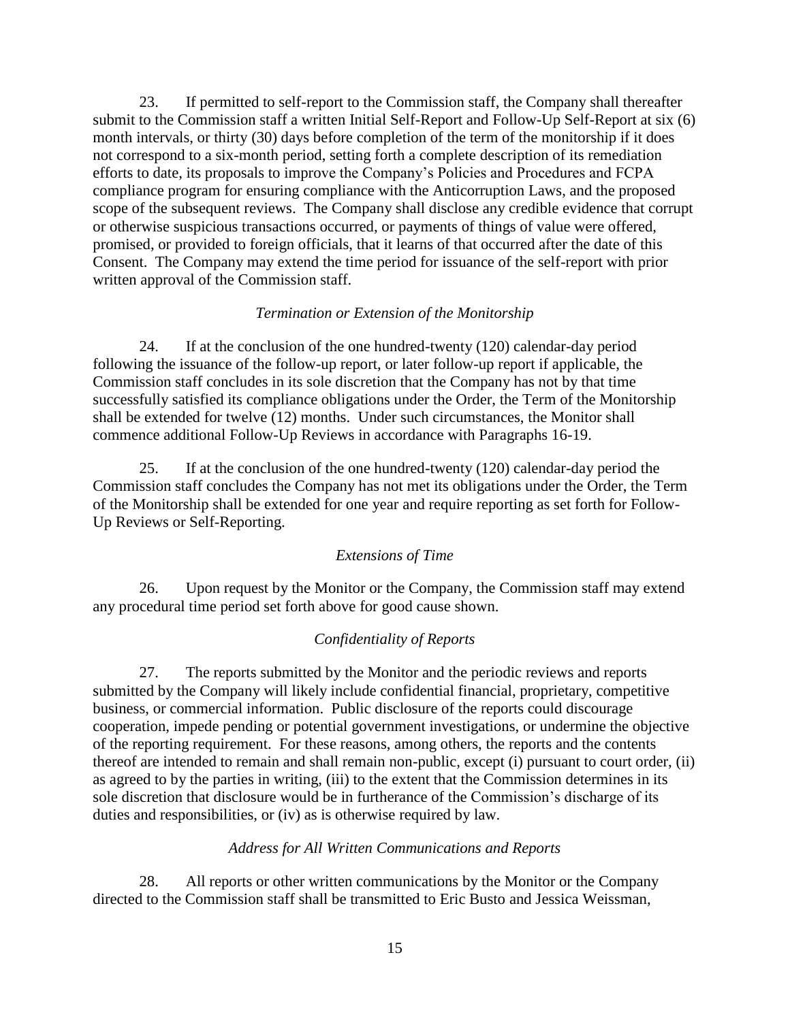23. If permitted to self-report to the Commission staff, the Company shall thereafter submit to the Commission staff a written Initial Self-Report and Follow-Up Self-Report at six (6) month intervals, or thirty (30) days before completion of the term of the monitorship if it does not correspond to a six-month period, setting forth a complete description of its remediation efforts to date, its proposals to improve the Company's Policies and Procedures and FCPA compliance program for ensuring compliance with the Anticorruption Laws, and the proposed scope of the subsequent reviews. The Company shall disclose any credible evidence that corrupt or otherwise suspicious transactions occurred, or payments of things of value were offered, promised, or provided to foreign officials, that it learns of that occurred after the date of this Consent. The Company may extend the time period for issuance of the self-report with prior written approval of the Commission staff.

### *Termination or Extension of the Monitorship*

24. If at the conclusion of the one hundred-twenty (120) calendar-day period following the issuance of the follow-up report, or later follow-up report if applicable, the Commission staff concludes in its sole discretion that the Company has not by that time successfully satisfied its compliance obligations under the Order, the Term of the Monitorship shall be extended for twelve (12) months. Under such circumstances, the Monitor shall commence additional Follow-Up Reviews in accordance with Paragraphs 16-19.

25. If at the conclusion of the one hundred-twenty (120) calendar-day period the Commission staff concludes the Company has not met its obligations under the Order, the Term of the Monitorship shall be extended for one year and require reporting as set forth for Follow-Up Reviews or Self-Reporting.

# *Extensions of Time*

26. Upon request by the Monitor or the Company, the Commission staff may extend any procedural time period set forth above for good cause shown.

# *Confidentiality of Reports*

27. The reports submitted by the Monitor and the periodic reviews and reports submitted by the Company will likely include confidential financial, proprietary, competitive business, or commercial information. Public disclosure of the reports could discourage cooperation, impede pending or potential government investigations, or undermine the objective of the reporting requirement. For these reasons, among others, the reports and the contents thereof are intended to remain and shall remain non-public, except (i) pursuant to court order, (ii) as agreed to by the parties in writing, (iii) to the extent that the Commission determines in its sole discretion that disclosure would be in furtherance of the Commission's discharge of its duties and responsibilities, or (iv) as is otherwise required by law.

# *Address for All Written Communications and Reports*

28. All reports or other written communications by the Monitor or the Company directed to the Commission staff shall be transmitted to Eric Busto and Jessica Weissman,